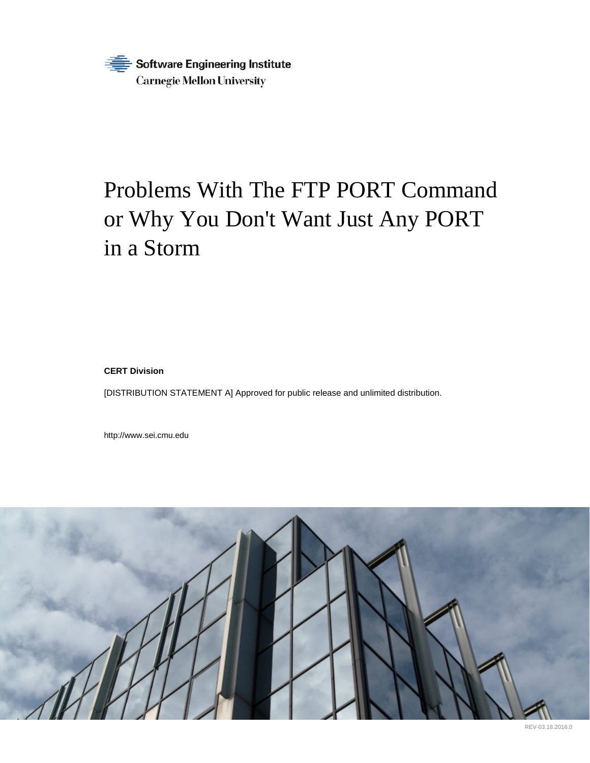

# Problems With The FTP PORT Command or Why You Don't Want Just Any PORT in a Storm

**CERT Division**

[DISTRIBUTION STATEMENT A] Approved for public release and unlimited distribution.

http://www.sei.cmu.edu



REV-03.18.2016.0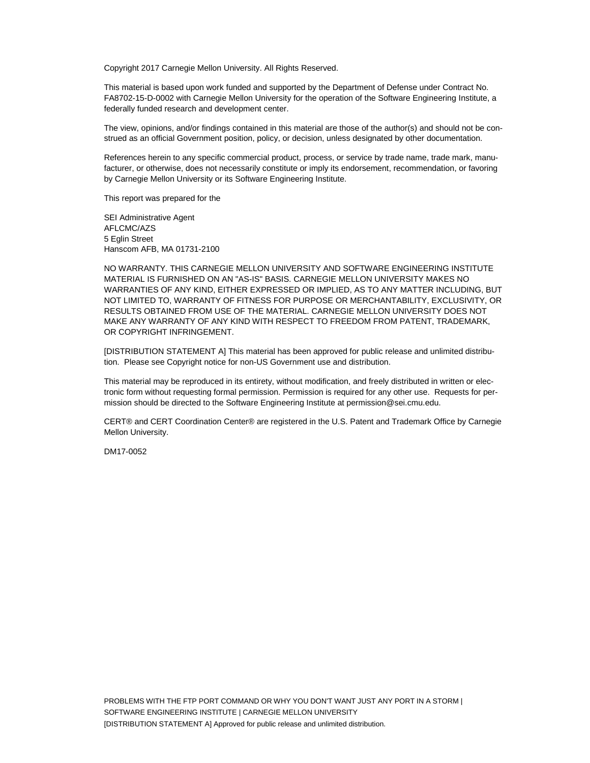Copyright 2017 Carnegie Mellon University. All Rights Reserved.

This material is based upon work funded and supported by the Department of Defense under Contract No. FA8702-15-D-0002 with Carnegie Mellon University for the operation of the Software Engineering Institute, a federally funded research and development center.

The view, opinions, and/or findings contained in this material are those of the author(s) and should not be construed as an official Government position, policy, or decision, unless designated by other documentation.

References herein to any specific commercial product, process, or service by trade name, trade mark, manufacturer, or otherwise, does not necessarily constitute or imply its endorsement, recommendation, or favoring by Carnegie Mellon University or its Software Engineering Institute.

This report was prepared for the

SEI Administrative Agent AFLCMC/AZS 5 Eglin Street Hanscom AFB, MA 01731-2100

NO WARRANTY. THIS CARNEGIE MELLON UNIVERSITY AND SOFTWARE ENGINEERING INSTITUTE MATERIAL IS FURNISHED ON AN "AS-IS" BASIS. CARNEGIE MELLON UNIVERSITY MAKES NO WARRANTIES OF ANY KIND, EITHER EXPRESSED OR IMPLIED, AS TO ANY MATTER INCLUDING, BUT NOT LIMITED TO, WARRANTY OF FITNESS FOR PURPOSE OR MERCHANTABILITY, EXCLUSIVITY, OR RESULTS OBTAINED FROM USE OF THE MATERIAL. CARNEGIE MELLON UNIVERSITY DOES NOT MAKE ANY WARRANTY OF ANY KIND WITH RESPECT TO FREEDOM FROM PATENT, TRADEMARK, OR COPYRIGHT INFRINGEMENT.

[DISTRIBUTION STATEMENT A] This material has been approved for public release and unlimited distribution. Please see Copyright notice for non-US Government use and distribution.

This material may be reproduced in its entirety, without modification, and freely distributed in written or electronic form without requesting formal permission. Permission is required for any other use. Requests for permission should be directed to the Software Engineering Institute at permission@sei.cmu.edu.

CERT® and CERT Coordination Center® are registered in the U.S. Patent and Trademark Office by Carnegie Mellon University.

DM17-0052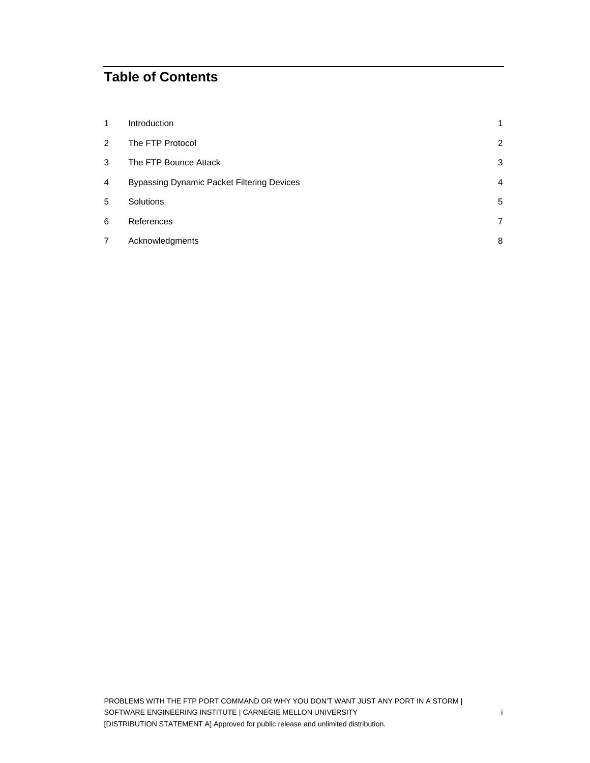# **Table of Contents**

| $\mathbf 1$    | Introduction                                      |                |
|----------------|---------------------------------------------------|----------------|
| $\mathcal{P}$  | The FTP Protocol                                  | $\overline{2}$ |
| 3              | The FTP Bounce Attack                             | 3              |
| $\overline{4}$ | <b>Bypassing Dynamic Packet Filtering Devices</b> | 4              |
| 5              | Solutions                                         | 5              |
| 6              | References                                        | $\overline{7}$ |
| 7              | Acknowledgments                                   | 8              |
|                |                                                   |                |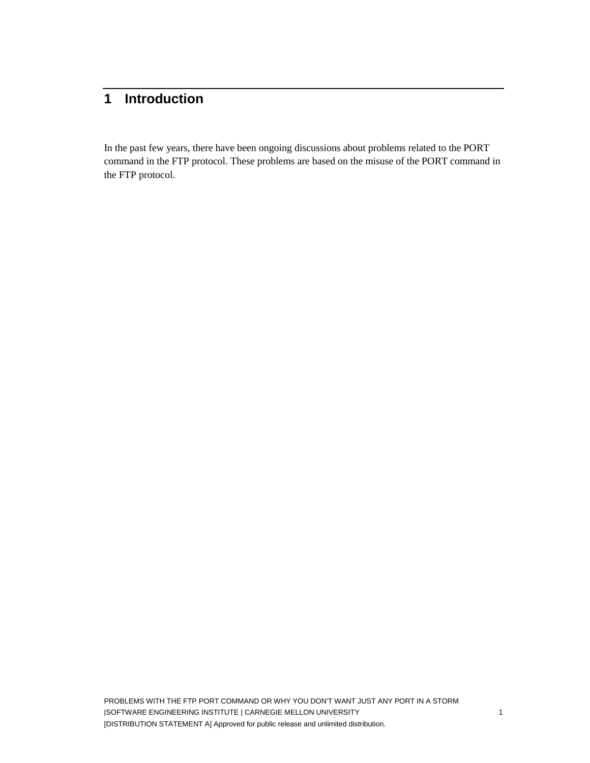# <span id="page-3-0"></span>**1 Introduction**

In the past few years, there have been ongoing discussions about problems related to the PORT command in the FTP protocol. These problems are based on the misuse of the PORT command in the FTP protocol.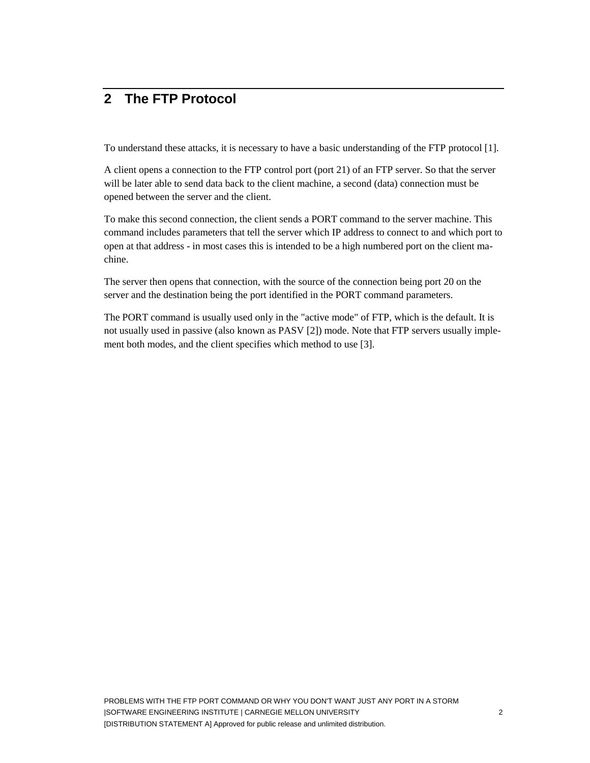## <span id="page-4-0"></span>**2 The FTP Protocol**

To understand these attacks, it is necessary to have a basic understanding of the FTP protocol [1].

A client opens a connection to the FTP control port (port 21) of an FTP server. So that the server will be later able to send data back to the client machine, a second (data) connection must be opened between the server and the client.

To make this second connection, the client sends a PORT command to the server machine. This command includes parameters that tell the server which IP address to connect to and which port to open at that address - in most cases this is intended to be a high numbered port on the client machine.

The server then opens that connection, with the source of the connection being port 20 on the server and the destination being the port identified in the PORT command parameters.

The PORT command is usually used only in the "active mode" of FTP, which is the default. It is not usually used in passive (also known as PASV [2]) mode. Note that FTP servers usually implement both modes, and the client specifies which method to use [3].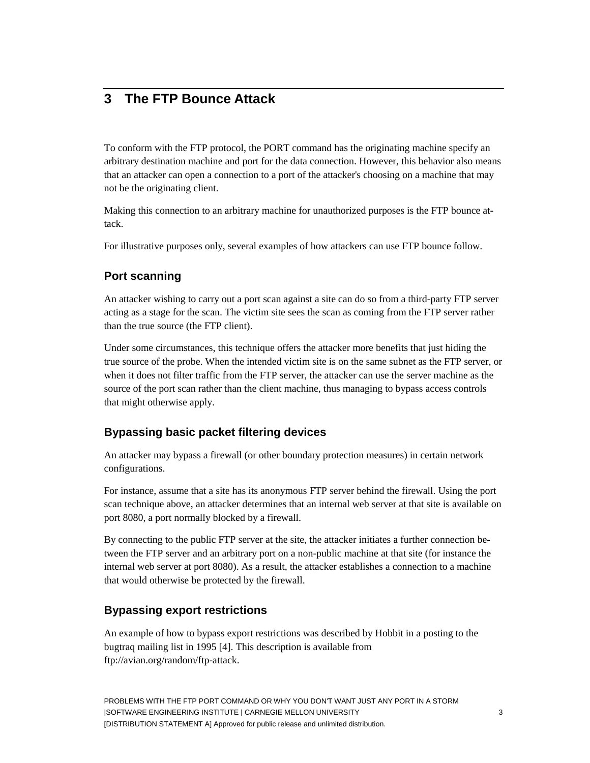## <span id="page-5-0"></span>**3 The FTP Bounce Attack**

To conform with the FTP protocol, the PORT command has the originating machine specify an arbitrary destination machine and port for the data connection. However, this behavior also means that an attacker can open a connection to a port of the attacker's choosing on a machine that may not be the originating client.

Making this connection to an arbitrary machine for unauthorized purposes is the FTP bounce attack.

For illustrative purposes only, several examples of how attackers can use FTP bounce follow.

#### **Port scanning**

An attacker wishing to carry out a port scan against a site can do so from a third-party FTP server acting as a stage for the scan. The victim site sees the scan as coming from the FTP server rather than the true source (the FTP client).

Under some circumstances, this technique offers the attacker more benefits that just hiding the true source of the probe. When the intended victim site is on the same subnet as the FTP server, or when it does not filter traffic from the FTP server, the attacker can use the server machine as the source of the port scan rather than the client machine, thus managing to bypass access controls that might otherwise apply.

#### **Bypassing basic packet filtering devices**

An attacker may bypass a firewall (or other boundary protection measures) in certain network configurations.

For instance, assume that a site has its anonymous FTP server behind the firewall. Using the port scan technique above, an attacker determines that an internal web server at that site is available on port 8080, a port normally blocked by a firewall.

By connecting to the public FTP server at the site, the attacker initiates a further connection between the FTP server and an arbitrary port on a non-public machine at that site (for instance the internal web server at port 8080). As a result, the attacker establishes a connection to a machine that would otherwise be protected by the firewall.

#### **Bypassing export restrictions**

An example of how to bypass export restrictions was described by Hobbit in a posting to the bugtraq mailing list in 1995 [4]. This description is available from [ftp://avian.org/random/ftp-attack.](ftp://avian.org/random/ftp-attack)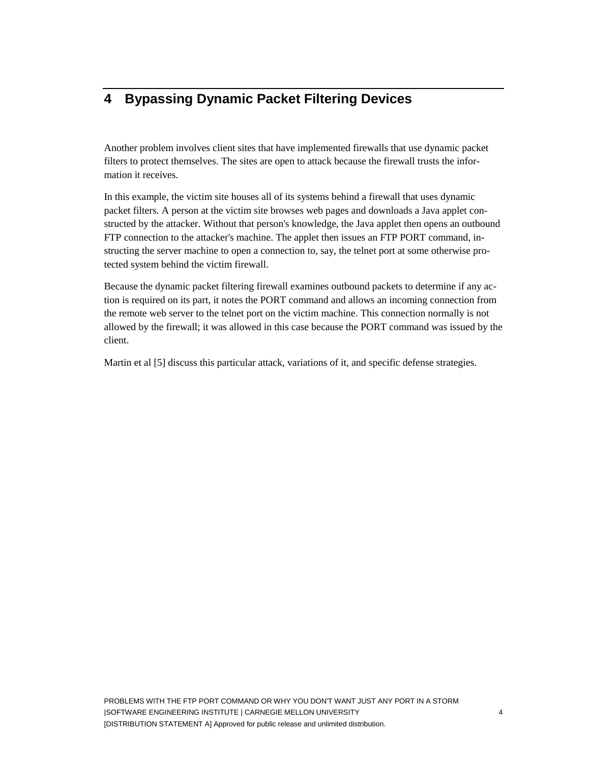# <span id="page-6-0"></span>**4 Bypassing Dynamic Packet Filtering Devices**

Another problem involves client sites that have implemented firewalls that use dynamic packet filters to protect themselves. The sites are open to attack because the firewall trusts the information it receives.

In this example, the victim site houses all of its systems behind a firewall that uses dynamic packet filters. A person at the victim site browses web pages and downloads a Java applet constructed by the attacker. Without that person's knowledge, the Java applet then opens an outbound FTP connection to the attacker's machine. The applet then issues an FTP PORT command, instructing the server machine to open a connection to, say, the telnet port at some otherwise protected system behind the victim firewall.

Because the dynamic packet filtering firewall examines outbound packets to determine if any action is required on its part, it notes the PORT command and allows an incoming connection from the remote web server to the telnet port on the victim machine. This connection normally is not allowed by the firewall; it was allowed in this case because the PORT command was issued by the client.

Martin et al [5] discuss this particular attack, variations of it, and specific defense strategies.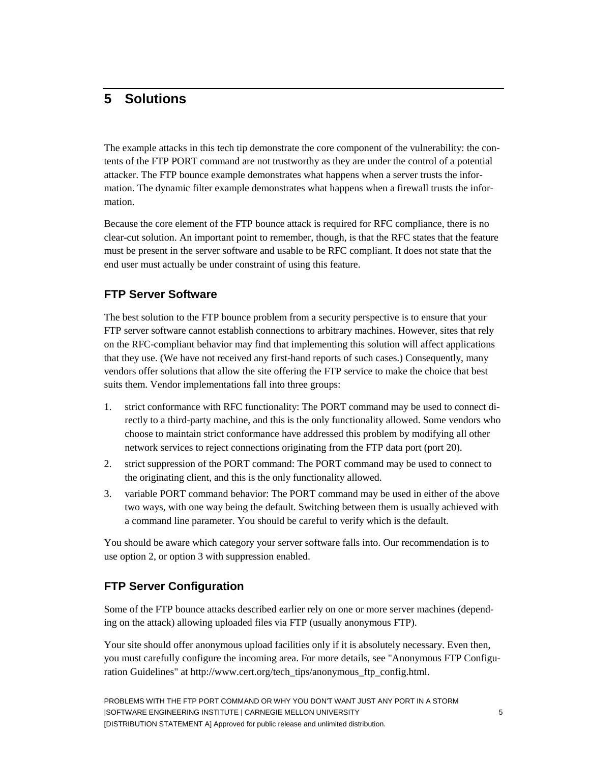### <span id="page-7-0"></span>**5 Solutions**

The example attacks in this tech tip demonstrate the core component of the vulnerability: the contents of the FTP PORT command are not trustworthy as they are under the control of a potential attacker. The FTP bounce example demonstrates what happens when a server trusts the information. The dynamic filter example demonstrates what happens when a firewall trusts the information.

Because the core element of the FTP bounce attack is required for RFC compliance, there is no clear-cut solution. An important point to remember, though, is that the RFC states that the feature must be present in the server software and usable to be RFC compliant. It does not state that the end user must actually be under constraint of using this feature.

#### **FTP Server Software**

The best solution to the FTP bounce problem from a security perspective is to ensure that your FTP server software cannot establish connections to arbitrary machines. However, sites that rely on the RFC-compliant behavior may find that implementing this solution will affect applications that they use. (We have not received any first-hand reports of such cases.) Consequently, many vendors offer solutions that allow the site offering the FTP service to make the choice that best suits them. Vendor implementations fall into three groups:

- 1. strict conformance with RFC functionality: The PORT command may be used to connect directly to a third-party machine, and this is the only functionality allowed. Some vendors who choose to maintain strict conformance have addressed this problem by modifying all other network services to reject connections originating from the FTP data port (port 20).
- 2. strict suppression of the PORT command: The PORT command may be used to connect to the originating client, and this is the only functionality allowed.
- 3. variable PORT command behavior: The PORT command may be used in either of the above two ways, with one way being the default. Switching between them is usually achieved with a command line parameter. You should be careful to verify which is the default.

You should be aware which category your server software falls into. Our recommendation is to use option 2, or option 3 with suppression enabled.

#### **FTP Server Configuration**

Some of the FTP bounce attacks described earlier rely on one or more server machines (depending on the attack) allowing uploaded files via FTP (usually anonymous FTP).

Your site should offer anonymous upload facilities only if it is absolutely necessary. Even then, you must carefully configure the incoming area. For more details, see "Anonymous FTP Configuration Guidelines" a[t http://www.cert.org/tech\\_tips/anonymous\\_ftp\\_config.html.](http://www.cert.org/tech_tips/anonymous_ftp_config.html)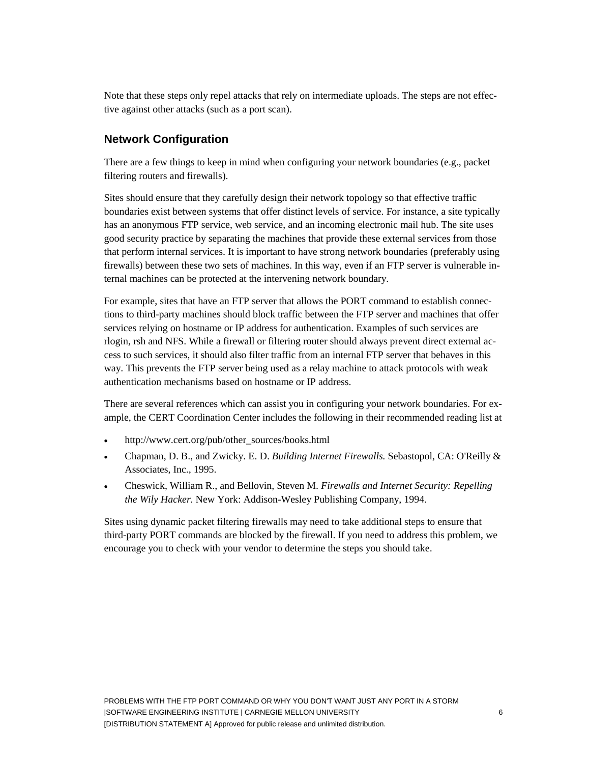Note that these steps only repel attacks that rely on intermediate uploads. The steps are not effective against other attacks (such as a port scan).

#### **Network Configuration**

There are a few things to keep in mind when configuring your network boundaries (e.g., packet filtering routers and firewalls).

Sites should ensure that they carefully design their network topology so that effective traffic boundaries exist between systems that offer distinct levels of service. For instance, a site typically has an anonymous FTP service, web service, and an incoming electronic mail hub. The site uses good security practice by separating the machines that provide these external services from those that perform internal services. It is important to have strong network boundaries (preferably using firewalls) between these two sets of machines. In this way, even if an FTP server is vulnerable internal machines can be protected at the intervening network boundary.

For example, sites that have an FTP server that allows the PORT command to establish connections to third-party machines should block traffic between the FTP server and machines that offer services relying on hostname or IP address for authentication. Examples of such services are rlogin, rsh and NFS. While a firewall or filtering router should always prevent direct external access to such services, it should also filter traffic from an internal FTP server that behaves in this way. This prevents the FTP server being used as a relay machine to attack protocols with weak authentication mechanisms based on hostname or IP address.

There are several references which can assist you in configuring your network boundaries. For example, the CERT Coordination Center includes the following in their recommended reading list at

- [http://www.cert.org/pub/other\\_sources/books.html](http://www.cert.org/pub/other_sources/books.html)
- Chapman, D. B., and Zwicky. E. D. *Building Internet Firewalls.* Sebastopol, CA: O'Reilly & Associates, Inc., 1995.
- Cheswick, William R., and Bellovin, Steven M. *Firewalls and Internet Security: Repelling the Wily Hacker.* New York: Addison-Wesley Publishing Company, 1994.

Sites using dynamic packet filtering firewalls may need to take additional steps to ensure that third-party PORT commands are blocked by the firewall. If you need to address this problem, we encourage you to check with your vendor to determine the steps you should take.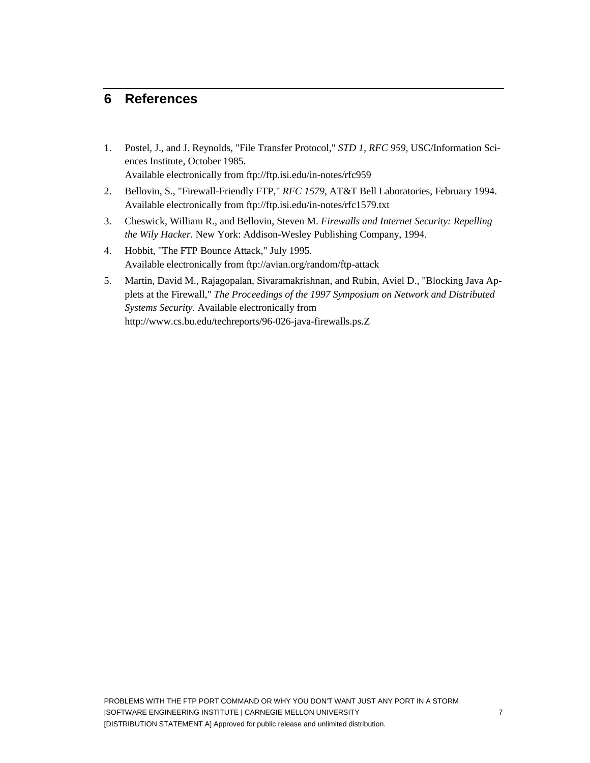#### <span id="page-9-0"></span>**6 References**

- 1. Postel, J., and J. Reynolds, "File Transfer Protocol," *STD 1, RFC 959,* USC/Information Sciences Institute, October 1985. Available electronically from ftp://ftp.isi.edu/in-notes/rfc959
- 2. Bellovin, S., "Firewall-Friendly FTP," *RFC 1579,* AT&T Bell Laboratories, February 1994. Available electronically from <ftp://ftp.isi.edu/in-notes/rfc1579.txt>
- 3. Cheswick, William R., and Bellovin, Steven M. *Firewalls and Internet Security: Repelling the Wily Hacker.* New York: Addison-Wesley Publishing Company, 1994.
- 4. Hobbit, "The FTP Bounce Attack," July 1995. Available electronically from ftp://avian.org/random/ftp-attack
- 5. Martin, David M., Rajagopalan, Sivaramakrishnan, and Rubin, Aviel D., "Blocking Java Applets at the Firewall," *The Proceedings of the 1997 Symposium on Network and Distributed Systems Security.* Available electronically from <http://www.cs.bu.edu/techreports/96-026-java-firewalls.ps.Z>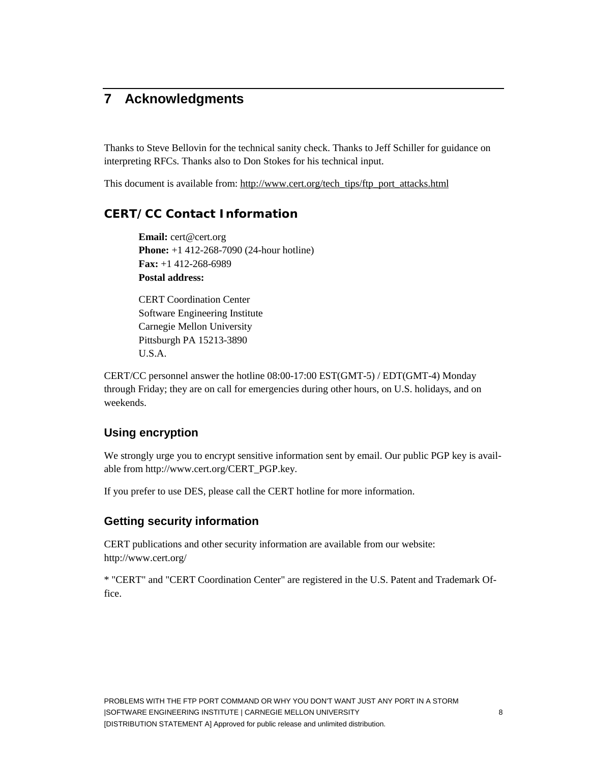## <span id="page-10-0"></span>**7 Acknowledgments**

Thanks to Steve Bellovin for the technical sanity check. Thanks to Jeff Schiller for guidance on interpreting RFCs. Thanks also to Don Stokes for his technical input.

This document is available from: [http://www.cert.org/tech\\_tips/ftp\\_port\\_attacks.html](http://www.cert.org/tech_tips/ftp_port_attacks.html)

#### **CERT/CC Contact Information**

**Email:** [cert@cert.org](mailto:cert@cert.org) **Phone:** +1 412-268-7090 (24-hour hotline) **Fax:** +1 412-268-6989 **Postal address:**

CERT Coordination Center Software Engineering Institute Carnegie Mellon University Pittsburgh PA 15213-3890 U.S.A.

CERT/CC personnel answer the hotline 08:00-17:00 EST(GMT-5) / EDT(GMT-4) Monday through Friday; they are on call for emergencies during other hours, on U.S. holidays, and on weekends.

#### **Using encryption**

We strongly urge you to encrypt sensitive information sent by email. Our public PGP key is available from [http://www.cert.org/CERT\\_PGP.key.](http://www.cert.org/CERT_PGP.key)

If you prefer to use DES, please call the CERT hotline for more information.

#### **Getting security information**

CERT publications and other security information are available from our website: <http://www.cert.org/>

\* "CERT" and "CERT Coordination Center" are registered in the U.S. Patent and Trademark Office.